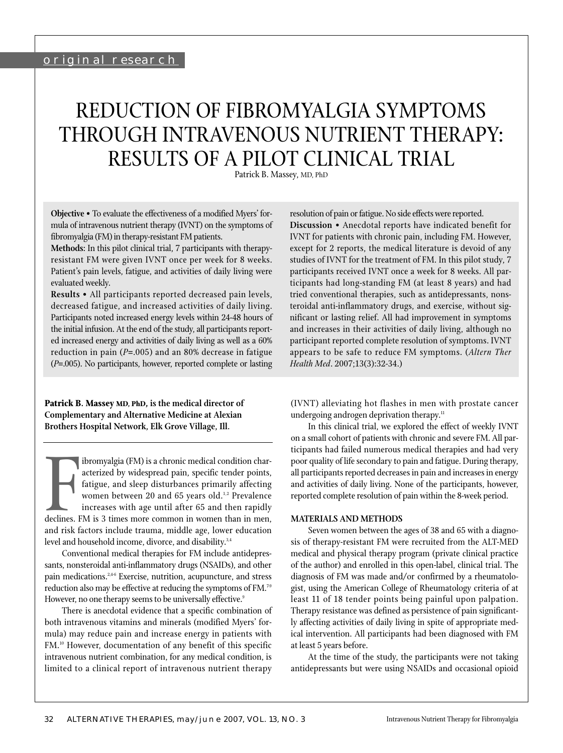# REDUCTION OF FIBROMYALGIA SYMPTOMS THROUGH INTRAVENOUS NUTRIENT THERAPY: RESULTS OF A PILOT CLINICAL TRIAL

Patrick B. Massey, MD, PhD

**Objective** • To evaluate the effectiveness of a modified Myers' formula of intravenous nutrient therapy (IVNT) on the symptoms of fibromyalgia (FM) in therapy-resistant FM patients.

**Methods:** In this pilot clinical trial, 7 participants with therapyresistant FM were given IVNT once per week for 8 weeks. Patient's pain levels, fatigue, and activities of daily living were evaluated weekly.

**Results** • All participants reported decreased pain levels, decreased fatigue, and increased activities of daily living. Participants noted increased energy levels within 24-48 hours of the initial infusion. At the end of the study, all participants reported increased energy and activities of daily living as well as a 60% reduction in pain (*P*=.005) and an 80% decrease in fatigue (*P*=.005). No participants, however, reported complete or lasting

**Patrick B. Massey MD, PhD, is the medical director of Complementary and Alternative Medicine at Alexian Brothers Hospital Network, Elk Grove Village, Ill.**

Finance increases with age until after the repoints,<br>Fatigue, and sleep disturbances primarily affecting<br>women between 20 and 65 years old.<sup>1,2</sup> Prevalence<br>increases with age until after 65 and then rapidly<br>declines. FM is ibromyalgia (FM) is a chronic medical condition characterized by widespread pain, specific tender points, fatigue, and sleep disturbances primarily affecting women between 20 and 65 years old.<sup>1,2</sup> Prevalence increases with age until after 65 and then rapidly declines. FM is 3 times more common in women than in men, level and household income, divorce, and disability.<sup>3,4</sup>

Conventional medical therapies for FM include antidepressants, nonsteroidal anti-inflammatory drugs (NSAIDs), and other pain medications.<sup>2,46</sup> Exercise, nutrition, acupuncture, and stress reduction also may be effective at reducing the symptoms of FM.7-9 However, no one therapy seems to be universally effective.<sup>9</sup>

There is anecdotal evidence that a specific combination of both intravenous vitamins and minerals (modified Myers' formula) may reduce pain and increase energy in patients with FM.10 However, documentation of any benefit of this specific intravenous nutrient combination, for any medical condition, is limited to a clinical report of intravenous nutrient therapy

resolution of pain or fatigue. No side effects were reported.

**Discussion** • Anecdotal reports have indicated benefit for IVNT for patients with chronic pain, including FM. However, except for 2 reports, the medical literature is devoid of any studies of IVNT for the treatment of FM. In this pilot study, 7 participants received IVNT once a week for 8 weeks. All participants had long-standing FM (at least 8 years) and had tried conventional therapies, such as antidepressants, nonsteroidal anti-inflammatory drugs, and exercise, without significant or lasting relief. All had improvement in symptoms and increases in their activities of daily living, although no participant reported complete resolution of symptoms. IVNT appears to be safe to reduce FM symptoms. (*Altern Ther Health Med*. 2007;13(3):32-34.)

(IVNT) alleviating hot flashes in men with prostate cancer undergoing androgen deprivation therapy.<sup>11</sup>

In this clinical trial, we explored the effect of weekly IVNT on a small cohort of patients with chronic and severe FM. All participants had failed numerous medical therapies and had very poor quality of life secondary to pain and fatigue. During therapy, all participants reported decreases in pain and increases in energy and activities of daily living. None of the participants, however, reported complete resolution of pain within the 8-week period.

## **MATERIALS AND METHODS**

Seven women between the ages of 38 and 65 with a diagnosis of therapy-resistant FM were recruited from the ALT-MED medical and physical therapy program (private clinical practice of the author) and enrolled in this open-label, clinical trial. The diagnosis of FM was made and/or confirmed by a rheumatologist, using the American College of Rheumatology criteria of at least 11 of 18 tender points being painful upon palpation. Therapy resistance was defined as persistence of pain significantly affecting activities of daily living in spite of appropriate medical intervention. All participants had been diagnosed with FM at least 5 years before.

At the time of the study, the participants were not taking antidepressants but were using NSAIDs and occasional opioid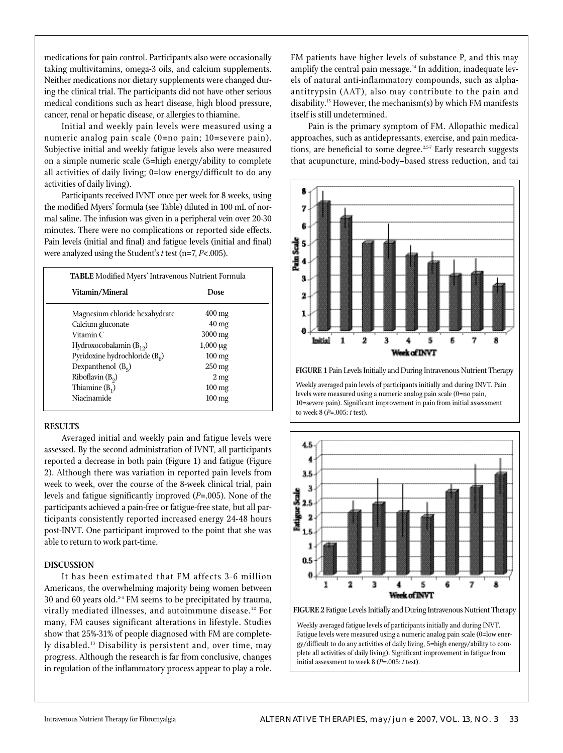medications for pain control. Participants also were occasionally taking multivitamins, omega-3 oils, and calcium supplements. Neither medications nor dietary supplements were changed during the clinical trial. The participants did not have other serious medical conditions such as heart disease, high blood pressure, cancer, renal or hepatic disease, or allergies to thiamine.

Initial and weekly pain levels were measured using a numeric analog pain scale (0=no pain; 10=severe pain). Subjective initial and weekly fatigue levels also were measured on a simple numeric scale (5=high energy/ability to complete all activities of daily living; 0=low energy/difficult to do any activities of daily living).

Participants received IVNT once per week for 8 weeks, using the modified Myers' formula (see Table) diluted in 100 mL of normal saline. The infusion was given in a peripheral vein over 20-30 minutes. There were no complications or reported side effects. Pain levels (initial and final) and fatigue levels (initial and final) were analyzed using the Student's *t* test (n=7, *P*<.005).

| <b>TABLE</b> Modified Myers' Intravenous Nutrient Formula |                      |
|-----------------------------------------------------------|----------------------|
| Vitamin/Mineral                                           | Dose                 |
| Magnesium chloride hexahydrate                            | $400 \,\mathrm{mg}$  |
| Calcium gluconate                                         | $40 \,\mathrm{mg}$   |
| Vitamin C                                                 | $3000 \,\mathrm{mg}$ |
| Hydroxocobalamin $(B_{12})$                               | $1,000 \mu g$        |
| Pyridoxine hydrochloride $(B6)$                           | $100 \,\mathrm{mg}$  |
| Dexpanthenol $(B_5)$                                      | $250 \,\mathrm{mg}$  |
| Riboflavin $(B_2)$                                        | 2 <sub>mg</sub>      |
| Thiamine $(B_1)$                                          | $100 \,\mathrm{mg}$  |
| Niacinamide                                               | $100 \,\mathrm{mg}$  |
|                                                           |                      |

## **RESULTS**

Averaged initial and weekly pain and fatigue levels were assessed. By the second administration of IVNT, all participants reported a decrease in both pain (Figure 1) and fatigue (Figure 2). Although there was variation in reported pain levels from week to week, over the course of the 8-week clinical trial, pain levels and fatigue significantly improved (*P*=.005). None of the participants achieved a pain-free or fatigue-free state, but all participants consistently reported increased energy 24-48 hours post-INVT. One participant improved to the point that she was able to return to work part-time.

## **DISCUSSION**

It has been estimated that FM affects 3-6 million Americans, the overwhelming majority being women between 30 and 60 years old. $24$  FM seems to be precipitated by trauma, virally mediated illnesses, and autoimmune disease.<sup>12</sup> For many, FM causes significant alterations in lifestyle. Studies show that 25%-31% of people diagnosed with FM are completely disabled.13 Disability is persistent and, over time, may progress. Although the research is far from conclusive, changes in regulation of the inflammatory process appear to play a role.

FM patients have higher levels of substance P, and this may amplify the central pain message. $14$  In addition, inadequate levels of natural anti-inflammatory compounds, such as alphaantitrypsin (AAT), also may contribute to the pain and disability.15 However, the mechanism(s) by which FM manifests itself is still undetermined.

Pain is the primary symptom of FM. Allopathic medical approaches, such as antidepressants, exercise, and pain medications, are beneficial to some degree.<sup>2,5-7</sup> Early research suggests that acupuncture, mind-body–based stress reduction, and tai



Weekly averaged pain levels of participants initially and during INVT. Pain levels were measured using a numeric analog pain scale (0=no pain, 10=severe pain). Significant improvement in pain from initial assessment to week 8 (*P=*.005: *t* test).



**FIGURE 2** Fatigue Levels Initially and During Intravenous Nutrient Therapy

Weekly averaged fatigue levels of participants initially and during INVT. Fatigue levels were measured using a numeric analog pain scale (0=low energy/difficult to do any activities of daily living, 5=high energy/ability to complete all activities of daily living). Significant improvement in fatigue from initial assessment to week 8 (*P*=.005: *t* test).